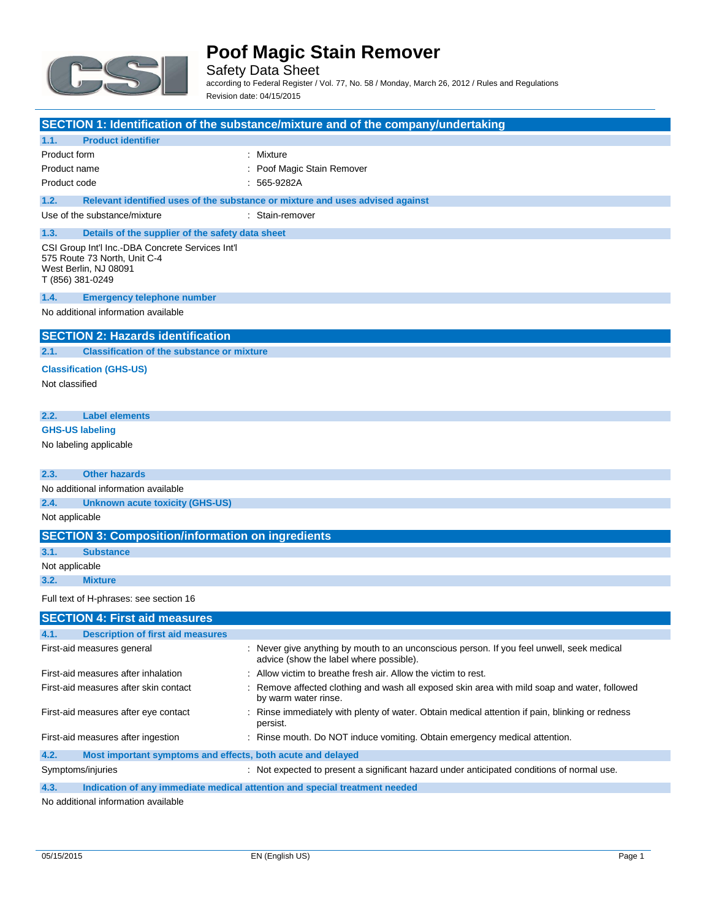

Safety Data Sheet according to Federal Register / Vol. 77, No. 58 / Monday, March 26, 2012 / Rules and Regulations Revision date: 04/15/2015

|                                                                                                                               | SECTION 1: Identification of the substance/mixture and of the company/undertaking                                                    |
|-------------------------------------------------------------------------------------------------------------------------------|--------------------------------------------------------------------------------------------------------------------------------------|
| <b>Product identifier</b><br>1.1.                                                                                             |                                                                                                                                      |
| Product form                                                                                                                  | : Mixture                                                                                                                            |
| Product name                                                                                                                  | Poof Magic Stain Remover                                                                                                             |
| Product code                                                                                                                  | 565-9282A                                                                                                                            |
| 1.2.                                                                                                                          | Relevant identified uses of the substance or mixture and uses advised against                                                        |
| Use of the substance/mixture                                                                                                  | : Stain-remover                                                                                                                      |
| 1.3.<br>Details of the supplier of the safety data sheet                                                                      |                                                                                                                                      |
| CSI Group Int'l Inc.-DBA Concrete Services Int'l<br>575 Route 73 North, Unit C-4<br>West Berlin, NJ 08091<br>T (856) 381-0249 |                                                                                                                                      |
| 1.4.<br><b>Emergency telephone number</b>                                                                                     |                                                                                                                                      |
| No additional information available                                                                                           |                                                                                                                                      |
| <b>SECTION 2: Hazards identification</b>                                                                                      |                                                                                                                                      |
| <b>Classification of the substance or mixture</b><br>2.1.                                                                     |                                                                                                                                      |
| <b>Classification (GHS-US)</b>                                                                                                |                                                                                                                                      |
| Not classified                                                                                                                |                                                                                                                                      |
|                                                                                                                               |                                                                                                                                      |
| 2.2.<br><b>Label elements</b>                                                                                                 |                                                                                                                                      |
| <b>GHS-US labeling</b>                                                                                                        |                                                                                                                                      |
| No labeling applicable                                                                                                        |                                                                                                                                      |
|                                                                                                                               |                                                                                                                                      |
| <b>Other hazards</b><br>2.3.                                                                                                  |                                                                                                                                      |
| No additional information available                                                                                           |                                                                                                                                      |
| 2.4.<br><b>Unknown acute toxicity (GHS-US)</b>                                                                                |                                                                                                                                      |
| Not applicable                                                                                                                |                                                                                                                                      |
| <b>SECTION 3: Composition/information on ingredients</b>                                                                      |                                                                                                                                      |
| 3.1.<br><b>Substance</b>                                                                                                      |                                                                                                                                      |
| Not applicable                                                                                                                |                                                                                                                                      |
| 3.2.<br><b>Mixture</b>                                                                                                        |                                                                                                                                      |
| Full text of H-phrases: see section 16                                                                                        |                                                                                                                                      |
| <b>SECTION 4: First aid measures</b>                                                                                          |                                                                                                                                      |
| <b>Description of first aid measures</b><br>4.1.                                                                              |                                                                                                                                      |
| First-aid measures general                                                                                                    | : Never give anything by mouth to an unconscious person. If you feel unwell, seek medical<br>advice (show the label where possible). |
| First-aid measures after inhalation                                                                                           | Allow victim to breathe fresh air. Allow the victim to rest.                                                                         |
| First-aid measures after skin contact                                                                                         | Remove affected clothing and wash all exposed skin area with mild soap and water, followed<br>by warm water rinse.                   |
| First-aid measures after eye contact                                                                                          | Rinse immediately with plenty of water. Obtain medical attention if pain, blinking or redness<br>persist.                            |
| First-aid measures after ingestion                                                                                            | : Rinse mouth. Do NOT induce vomiting. Obtain emergency medical attention.                                                           |
| Most important symptoms and effects, both acute and delayed<br>4.2.                                                           |                                                                                                                                      |

Symptoms/injuries **Symptoms**/injuries **interpreted** to present a significant hazard under anticipated conditions of normal use.

**4.3. Indication of any immediate medical attention and special treatment needed**

No additional information available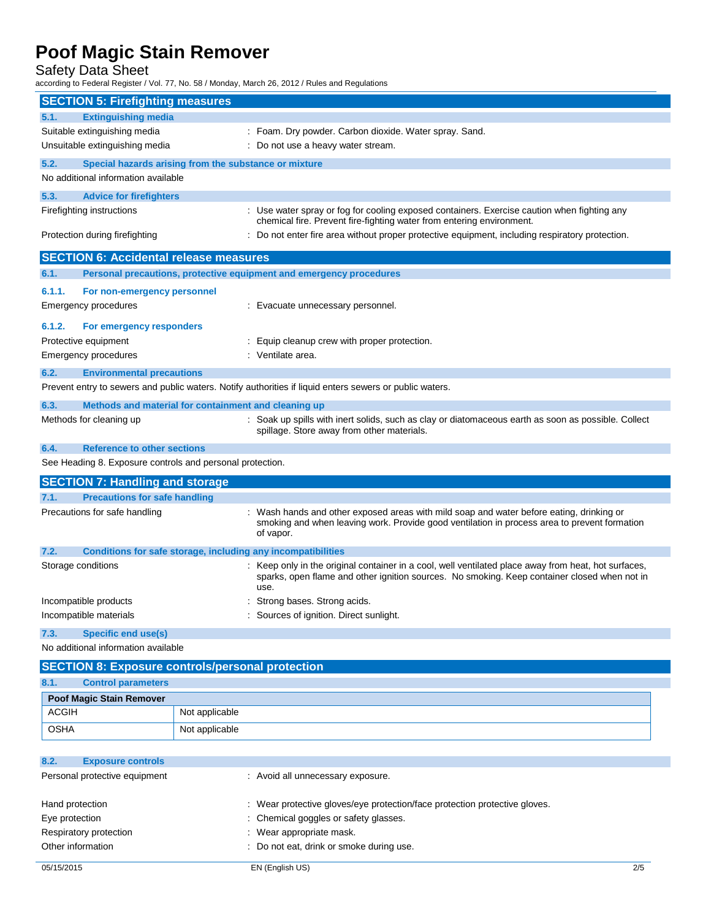Safety Data Sheet

according to Federal Register / Vol. 77, No. 58 / Monday, March 26, 2012 / Rules and Regulations

| <b>SECTION 5: Firefighting measures</b>                       |                                                                                                                                                                                                              |  |
|---------------------------------------------------------------|--------------------------------------------------------------------------------------------------------------------------------------------------------------------------------------------------------------|--|
| <b>Extinguishing media</b><br>5.1.                            |                                                                                                                                                                                                              |  |
| Suitable extinguishing media                                  | : Foam. Dry powder. Carbon dioxide. Water spray. Sand.                                                                                                                                                       |  |
| Unsuitable extinguishing media                                | : Do not use a heavy water stream.                                                                                                                                                                           |  |
| 5.2.<br>Special hazards arising from the substance or mixture |                                                                                                                                                                                                              |  |
| No additional information available                           |                                                                                                                                                                                                              |  |
| 5.3.<br><b>Advice for firefighters</b>                        |                                                                                                                                                                                                              |  |
| Firefighting instructions                                     | : Use water spray or fog for cooling exposed containers. Exercise caution when fighting any<br>chemical fire. Prevent fire-fighting water from entering environment.                                         |  |
| Protection during firefighting                                | : Do not enter fire area without proper protective equipment, including respiratory protection.                                                                                                              |  |
| <b>SECTION 6: Accidental release measures</b>                 |                                                                                                                                                                                                              |  |
| 6.1.                                                          | Personal precautions, protective equipment and emergency procedures                                                                                                                                          |  |
| 6.1.1.<br>For non-emergency personnel                         |                                                                                                                                                                                                              |  |
| Emergency procedures                                          | : Evacuate unnecessary personnel.                                                                                                                                                                            |  |
| 6.1.2.<br>For emergency responders                            |                                                                                                                                                                                                              |  |
| Protective equipment                                          | : Equip cleanup crew with proper protection.                                                                                                                                                                 |  |
| <b>Emergency procedures</b>                                   | : Ventilate area.                                                                                                                                                                                            |  |
| 6.2.<br><b>Environmental precautions</b>                      |                                                                                                                                                                                                              |  |
|                                                               | Prevent entry to sewers and public waters. Notify authorities if liquid enters sewers or public waters.                                                                                                      |  |
| 6.3.                                                          | Methods and material for containment and cleaning up                                                                                                                                                         |  |
| Methods for cleaning up                                       | : Soak up spills with inert solids, such as clay or diatomaceous earth as soon as possible. Collect                                                                                                          |  |
|                                                               | spillage. Store away from other materials.                                                                                                                                                                   |  |
| 6.4.<br><b>Reference to other sections</b>                    |                                                                                                                                                                                                              |  |
| See Heading 8. Exposure controls and personal protection.     |                                                                                                                                                                                                              |  |
| <b>SECTION 7: Handling and storage</b>                        |                                                                                                                                                                                                              |  |
| <b>Precautions for safe handling</b><br>7.1.                  |                                                                                                                                                                                                              |  |
| Precautions for safe handling                                 | : Wash hands and other exposed areas with mild soap and water before eating, drinking or<br>smoking and when leaving work. Provide good ventilation in process area to prevent formation<br>of vapor.        |  |
| 7.2.                                                          | Conditions for safe storage, including any incompatibilities                                                                                                                                                 |  |
| Storage conditions                                            | : Keep only in the original container in a cool, well ventilated place away from heat, hot surfaces,<br>sparks, open flame and other ignition sources. No smoking. Keep container closed when not in<br>use. |  |
| Incompatible products                                         | : Strong bases. Strong acids.                                                                                                                                                                                |  |
| Incompatible materials                                        | : Sources of ignition. Direct sunlight.                                                                                                                                                                      |  |
| <b>Specific end use(s)</b><br>7.3.                            |                                                                                                                                                                                                              |  |
| No additional information available                           |                                                                                                                                                                                                              |  |
|                                                               | <b>SECTION 8: Exposure controls/personal protection</b>                                                                                                                                                      |  |
| 8.1.<br><b>Control parameters</b>                             |                                                                                                                                                                                                              |  |
| Poof Magic Stain Remover                                      |                                                                                                                                                                                                              |  |
| <b>ACGIH</b>                                                  | Not applicable                                                                                                                                                                                               |  |
| OSHA                                                          | Not applicable                                                                                                                                                                                               |  |
|                                                               |                                                                                                                                                                                                              |  |

| 8.2.<br><b>Exposure controls</b> |                                                                            |
|----------------------------------|----------------------------------------------------------------------------|
| Personal protective equipment    | : Avoid all unnecessary exposure.                                          |
| Hand protection                  | : Wear protective gloves/eye protection/face protection protective gloves. |
| Eye protection                   | : Chemical goggles or safety glasses.                                      |
| Respiratory protection           | : Wear appropriate mask.                                                   |
| Other information                | Do not eat, drink or smoke during use.                                     |
|                                  |                                                                            |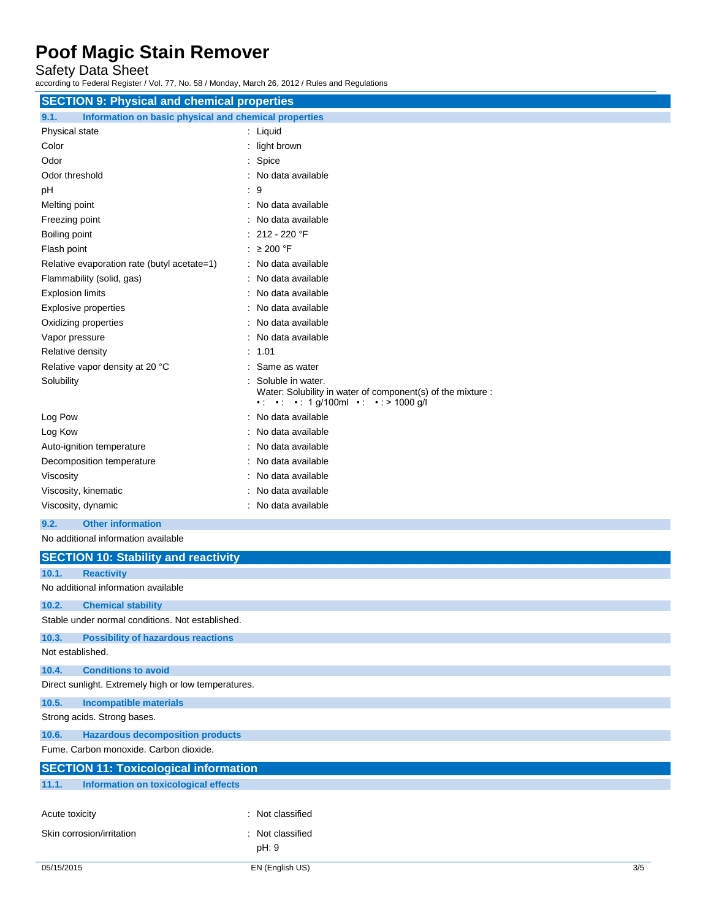Safety Data Sheet

according to Federal Register / Vol. 77, No. 58 / Monday, March 26, 2012 / Rules and Regulations

| <b>SECTION 9: Physical and chemical properties</b>            |                                                                                                                        |  |
|---------------------------------------------------------------|------------------------------------------------------------------------------------------------------------------------|--|
| Information on basic physical and chemical properties<br>9.1. |                                                                                                                        |  |
| Physical state                                                | : Liquid                                                                                                               |  |
| Color                                                         | : light brown                                                                                                          |  |
| Odor                                                          | : Spice                                                                                                                |  |
| Odor threshold                                                | : No data available                                                                                                    |  |
| pH                                                            | 9                                                                                                                      |  |
| Melting point                                                 | No data available                                                                                                      |  |
| Freezing point                                                | No data available                                                                                                      |  |
| Boiling point                                                 | 212 - 220 °F                                                                                                           |  |
| Flash point                                                   | : $\geq 200$ °F                                                                                                        |  |
| Relative evaporation rate (butyl acetate=1)                   | : No data available                                                                                                    |  |
| Flammability (solid, gas)                                     | No data available                                                                                                      |  |
| <b>Explosion limits</b>                                       | : No data available                                                                                                    |  |
| <b>Explosive properties</b>                                   | : No data available                                                                                                    |  |
| Oxidizing properties                                          | No data available                                                                                                      |  |
| Vapor pressure                                                | No data available                                                                                                      |  |
| Relative density                                              | : 1.01                                                                                                                 |  |
| Relative vapor density at 20 °C                               | : Same as water                                                                                                        |  |
| Solubility                                                    | Soluble in water.<br>Water: Solubility in water of component(s) of the mixture :<br>• • • • 1 g/100ml • • • > 1000 g/l |  |
| Log Pow                                                       | No data available                                                                                                      |  |
| Log Kow                                                       | No data available                                                                                                      |  |
| Auto-ignition temperature                                     | : No data available                                                                                                    |  |
| Decomposition temperature                                     | : No data available                                                                                                    |  |
| Viscosity                                                     | No data available                                                                                                      |  |
| Viscosity, kinematic                                          | No data available                                                                                                      |  |
| Viscosity, dynamic                                            | : No data available                                                                                                    |  |
| 9.2.<br><b>Other information</b>                              |                                                                                                                        |  |
| No additional information available                           |                                                                                                                        |  |
| <b>SECTION 10: Stability and reactivity</b>                   |                                                                                                                        |  |
| 10.1.<br><b>Reactivity</b>                                    |                                                                                                                        |  |
| No additional information available                           |                                                                                                                        |  |
| 10.2.<br><b>Chemical stability</b>                            |                                                                                                                        |  |
| Stable under normal conditions. Not established.              |                                                                                                                        |  |
| 10.3.<br><b>Possibility of hazardous reactions</b>            |                                                                                                                        |  |
| Not established.                                              |                                                                                                                        |  |
| <b>Conditions to avoid</b><br>10.4.                           |                                                                                                                        |  |
| Direct sunlight. Extremely high or low temperatures.          |                                                                                                                        |  |
| 10.5.<br><b>Incompatible materials</b>                        |                                                                                                                        |  |
| Strong acids. Strong bases.                                   |                                                                                                                        |  |

**10.6. Hazardous decomposition products**

Fume. Carbon monoxide. Carbon dioxide.

| <b>SECTION 11: Toxicological information</b> |                                      |                  |
|----------------------------------------------|--------------------------------------|------------------|
| 11.1.                                        | Information on toxicological effects |                  |
|                                              | Acute toxicity                       | : Not classified |
|                                              | Skin corrosion/irritation            | : Not classified |
|                                              |                                      | pH: 9            |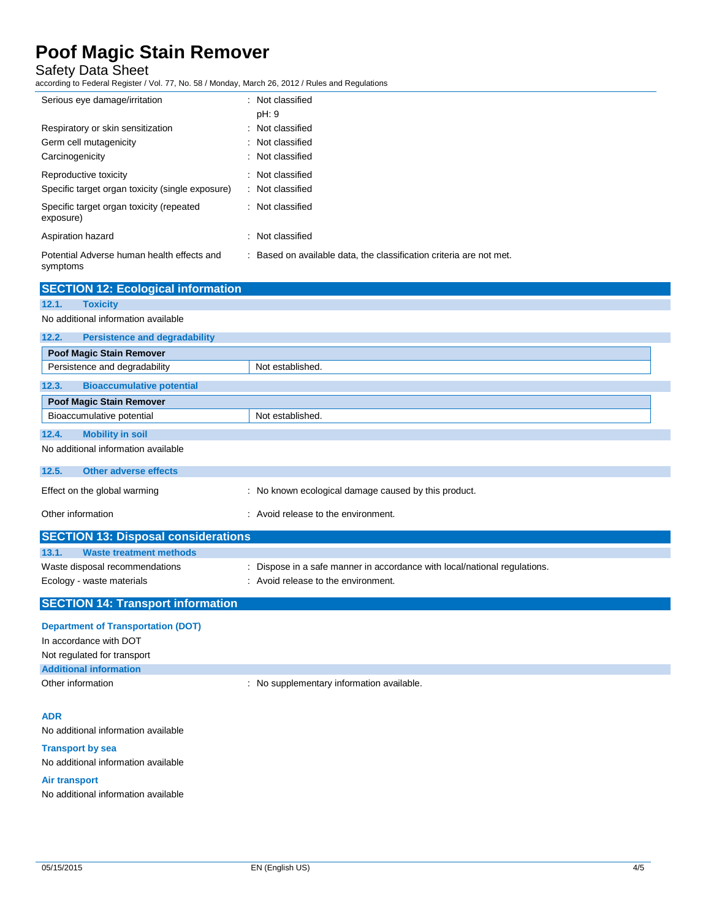Safety Data Sheet

according to Federal Register / Vol. 77, No. 58 / Monday, March 26, 2012 / Rules and Regulations

| Serious eye damage/irritation                                                  | : Not classified<br>pH: 9                                           |
|--------------------------------------------------------------------------------|---------------------------------------------------------------------|
| Respiratory or skin sensitization<br>Germ cell mutagenicity<br>Carcinogenicity | : Not classified<br>: Not classified<br>: Not classified            |
| Reproductive toxicity<br>Specific target organ toxicity (single exposure)      | : Not classified<br>: Not classified                                |
| Specific target organ toxicity (repeated<br>exposure)                          | : Not classified                                                    |
| Aspiration hazard                                                              | : Not classified                                                    |
| Potential Adverse human health effects and<br>symptoms                         | : Based on available data, the classification criteria are not met. |

| <b>SECTION 12: Ecological information</b>     |                                                      |
|-----------------------------------------------|------------------------------------------------------|
| <b>Toxicity</b><br>12.1.                      |                                                      |
| No additional information available           |                                                      |
| 12.2.<br><b>Persistence and degradability</b> |                                                      |
| <b>Poof Magic Stain Remover</b>               |                                                      |
| Persistence and degradability                 | Not established.                                     |
| <b>Bioaccumulative potential</b><br>12.3.     |                                                      |
| Poof Magic Stain Remover                      |                                                      |
| Bioaccumulative potential                     | Not established.                                     |
| 12.4.<br><b>Mobility in soil</b>              |                                                      |
| No additional information available           |                                                      |
| <b>Other adverse effects</b><br>12.5.         |                                                      |
| Effect on the global warming                  | : No known ecological damage caused by this product. |
| Other information                             | : Avoid release to the environment.                  |
| <b>SECTION 13: Disposal considerations</b>    |                                                      |
| 13.1.<br><b>Waste treatment methods</b>       |                                                      |

| <b>SECTION 14: Transport information</b> |                                                                           |
|------------------------------------------|---------------------------------------------------------------------------|
| Ecology - waste materials                | : Avoid release to the environment.                                       |
| Waste disposal recommendations           | : Dispose in a safe manner in accordance with local/national regulations. |
| waste treatment methods                  |                                                                           |

### **Department of Transportation (DOT)**

| <b>Department of Hansportanon (DOT)</b> |                                           |
|-----------------------------------------|-------------------------------------------|
| In accordance with DOT                  |                                           |
| Not regulated for transport             |                                           |
| <b>Additional information</b>           |                                           |
| Other information                       | : No supplementary information available. |

### **ADR**

No additional information available

#### **Transport by sea**

No additional information available

### **Air transport**

No additional information available